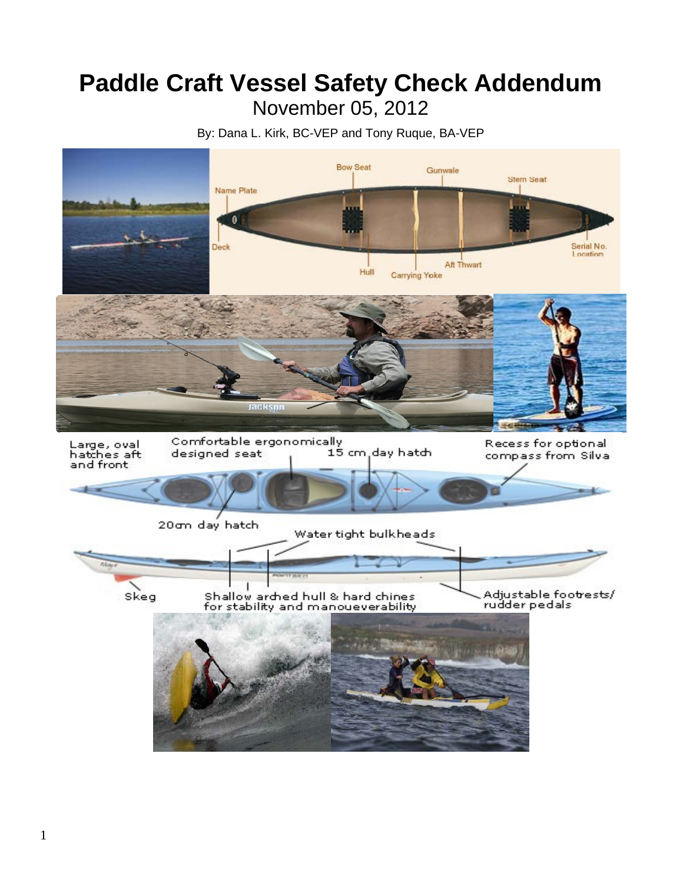# **Paddle Craft Vessel Safety Check Addendum** November 05, 2012

By: Dana L. Kirk, BC-VEP and Tony Ruque, BA-VEP

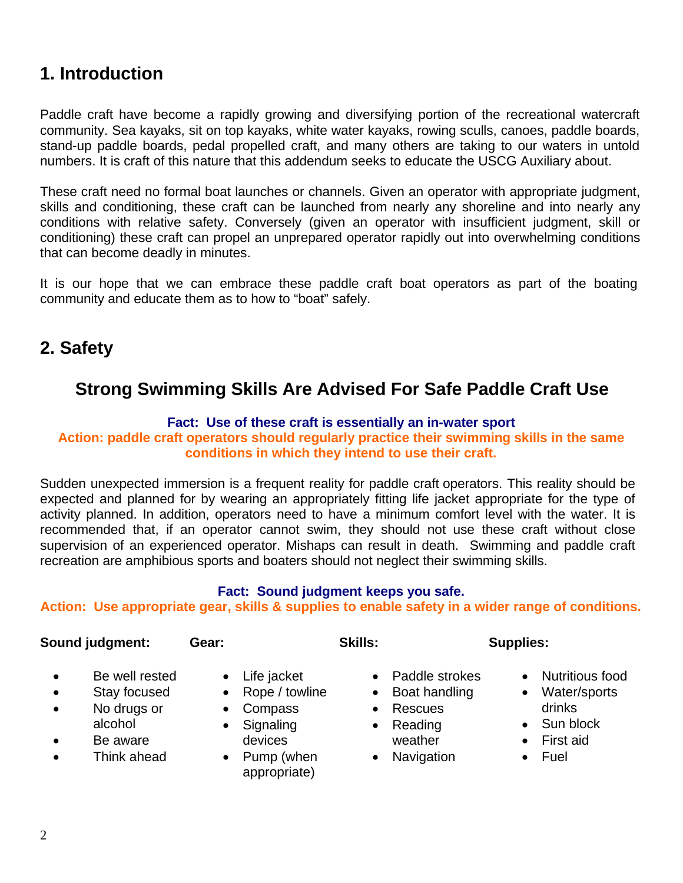# **1. Introduction**

Paddle craft have become a rapidly growing and diversifying portion of the recreational watercraft community. Sea kayaks, sit on top kayaks, white water kayaks, rowing sculls, canoes, paddle boards, stand-up paddle boards, pedal propelled craft, and many others are taking to our waters in untold numbers. It is craft of this nature that this addendum seeks to educate the USCG Auxiliary about.

These craft need no formal boat launches or channels. Given an operator with appropriate judgment, skills and conditioning, these craft can be launched from nearly any shoreline and into nearly any conditions with relative safety. Conversely (given an operator with insufficient judgment, skill or conditioning) these craft can propel an unprepared operator rapidly out into overwhelming conditions that can become deadly in minutes.

It is our hope that we can embrace these paddle craft boat operators as part of the boating community and educate them as to how to "boat" safely.

# **2. Safety**

# **Strong Swimming Skills Are Advised For Safe Paddle Craft Use**

#### **Fact: Use of these craft is essentially an in-water sport**

**Action: paddle craft operators should regularly practice their swimming skills in the same conditions in which they intend to use their craft.**

Sudden unexpected immersion is a frequent reality for paddle craft operators. This reality should be expected and planned for by wearing an appropriately fitting life jacket appropriate for the type of activity planned. In addition, operators need to have a minimum comfort level with the water. It is recommended that, if an operator cannot swim, they should not use these craft without close supervision of an experienced operator. Mishaps can result in death. Swimming and paddle craft recreation are amphibious sports and boaters should not neglect their swimming skills.

#### **Fact: Sound judgment keeps you safe.**

**Action: Use appropriate gear, skills & supplies to enable safety in a wider range of conditions.**

- 
- $\bullet$ Be well rested
- $\bullet$ Stay focused
- No drugs or Compass Rescues drinks alcohol
- $\bullet$ Be aware
- 
- Life jacket
- Rope / towline
- 
- Signaling devices
- Think ahead Pump (when Navigation Fuel appropriate)
- Paddle strokes

**Sound judgment: Gear: Skills: Supplies:**

- Boat handling
- 
- Reading weather
- 
- - Nutritious food • Water/sports
	-
	- Sun block
	- First aid
	-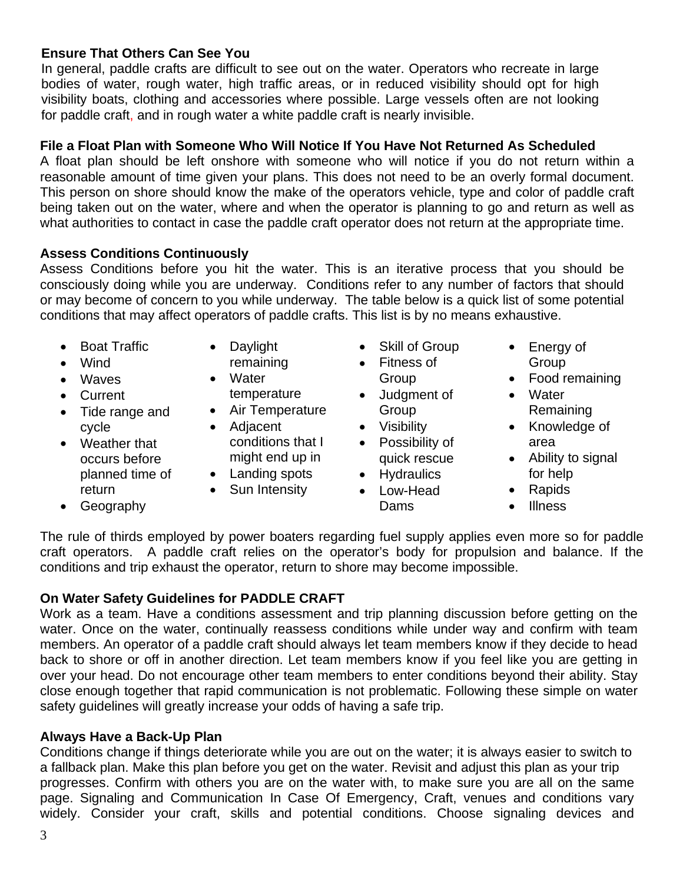### **Ensure That Others Can See You**

In general, paddle crafts are difficult to see out on the water. Operators who recreate in large bodies of water, rough water, high traffic areas, or in reduced visibility should opt for high visibility boats, clothing and accessories where possible. Large vessels often are not looking for paddle craft, and in rough water a white paddle craft is nearly invisible.

#### **File a Float Plan with Someone Who Will Notice If You Have Not Returned As Scheduled**

A float plan should be left onshore with someone who will notice if you do not return within a reasonable amount of time given your plans. This does not need to be an overly formal document. This person on shore should know the make of the operators vehicle, type and color of paddle craft being taken out on the water, where and when the operator is planning to go and return as well as what authorities to contact in case the paddle craft operator does not return at the appropriate time.

### **Assess Conditions Continuously**

Assess Conditions before you hit the water. This is an iterative process that you should be consciously doing while you are underway. Conditions refer to any number of factors that should or may become of concern to you while underway. The table below is a quick list of some potential conditions that may affect operators of paddle crafts. This list is by no means exhaustive.

- Boat Traffic
- Daylight
- Wind Waves
- 
- Tide range and Air Temperature Group Company Remaining
- Weather that occurs before
- remaining
- Water
- 
- cycle Adjacent Visibility Knowledge of conditions that I might end up in
- planned time of  $\bullet$  Landing spots  $\bullet$  Hydraulics for help
- return Sun Intensity Low-Head Rapids
- Skill of Group
- Fitness of Group
- Current **temperature** Judgment of Water
	-
	- Possibility of quick rescue
	-
	-
- Energy of **Group**
- Food remaining
- 
- area
- Ability to signal
- 
- 
- Geography **Illness**

The rule of thirds employed by power boaters regarding fuel supply applies even more so for paddle craft operators. A paddle craft relies on the operator's body for propulsion and balance. If the conditions and trip exhaust the operator, return to shore may become impossible.

### **On Water Safety Guidelines for PADDLE CRAFT**

Work as a team. Have a conditions assessment and trip planning discussion before getting on the water. Once on the water, continually reassess conditions while under way and confirm with team members. An operator of a paddle craft should always let team members know if they decide to head back to shore or off in another direction. Let team members know if you feel like you are getting in over your head. Do not encourage other team members to enter conditions beyond their ability. Stay close enough together that rapid communication is not problematic. Following these simple on water safety guidelines will greatly increase your odds of having a safe trip.

#### **Always Have a Back-Up Plan**

Conditions change if things deteriorate while you are out on the water; it is always easier to switch to a fallback plan. Make this plan before you get on the water. Revisit and adjust this plan as your trip progresses. Confirm with others you are on the water with, to make sure you are all on the same page. Signaling and Communication In Case Of Emergency, Craft, venues and conditions vary widely. Consider your craft, skills and potential conditions. Choose signaling devices and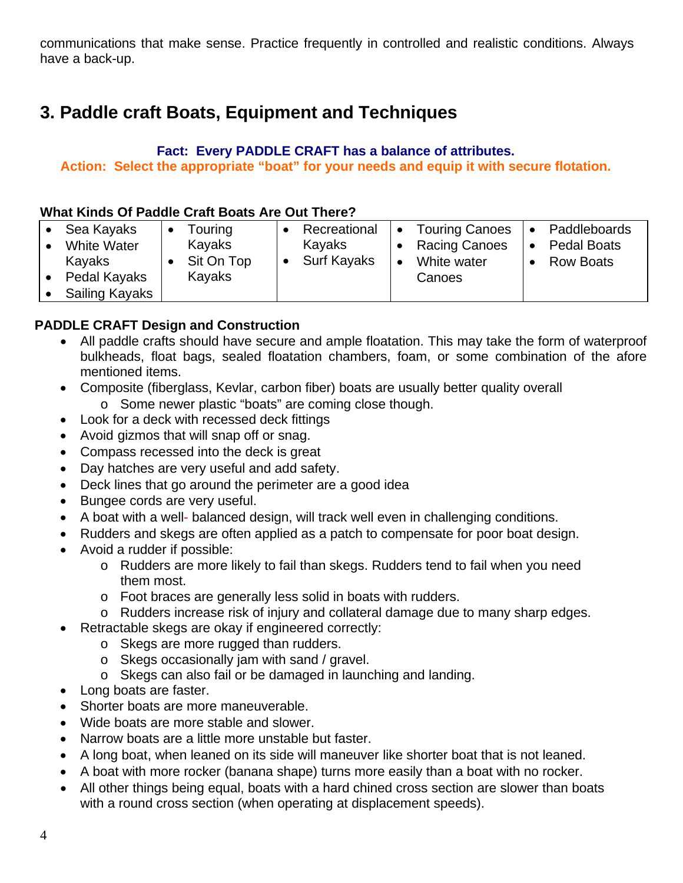communications that make sense. Practice frequently in controlled and realistic conditions. Always have a back-up.

# **3. Paddle craft Boats, Equipment and Techniques**

#### **Fact: Every PADDLE CRAFT has a balance of attributes. Action: Select the appropriate "boat" for your needs and equip it with secure flotation.**

#### **What Kinds Of Paddle Craft Boats Are Out There?**

| Sea Kayaks<br><b>White Water</b><br>Kayaks | Touring<br>Kayaks<br>Sit On Top | Recreational<br>Kayaks<br><b>Surf Kayaks</b> | $\bullet$<br>٠ | <b>Touring Canoes</b><br><b>Racing Canoes</b><br>White water | $\bullet$<br>$\bullet$ | Paddleboards<br><b>Pedal Boats</b><br><b>Row Boats</b> |
|--------------------------------------------|---------------------------------|----------------------------------------------|----------------|--------------------------------------------------------------|------------------------|--------------------------------------------------------|
| Pedal Kayaks                               | Kayaks                          |                                              |                | Canoes                                                       |                        |                                                        |
| <b>Sailing Kayaks</b>                      |                                 |                                              |                |                                                              |                        |                                                        |

### **PADDLE CRAFT Design and Construction**

- All paddle crafts should have secure and ample floatation. This may take the form of waterproof bulkheads, float bags, sealed floatation chambers, foam, or some combination of the afore mentioned items.
- Composite (fiberglass, Kevlar, carbon fiber) boats are usually better quality overall o Some newer plastic "boats" are coming close though.
- Look for a deck with recessed deck fittings
- Avoid gizmos that will snap off or snag.
- Compass recessed into the deck is great
- Day hatches are very useful and add safety.
- Deck lines that go around the perimeter are a good idea
- Bungee cords are very useful.
- A boat with a well- balanced design, will track well even in challenging conditions.
- Rudders and skegs are often applied as a patch to compensate for poor boat design.
- Avoid a rudder if possible:
	- o Rudders are more likely to fail than skegs. Rudders tend to fail when you need them most.
	- o Foot braces are generally less solid in boats with rudders.
	- o Rudders increase risk of injury and collateral damage due to many sharp edges.
- Retractable skegs are okay if engineered correctly:
	- o Skegs are more rugged than rudders.
	- o Skegs occasionally jam with sand / gravel.
	- o Skegs can also fail or be damaged in launching and landing.
- Long boats are faster.
- Shorter boats are more maneuverable.
- Wide boats are more stable and slower.
- Narrow boats are a little more unstable but faster.
- A long boat, when leaned on its side will maneuver like shorter boat that is not leaned.
- A boat with more rocker (banana shape) turns more easily than a boat with no rocker.
- All other things being equal, boats with a hard chined cross section are slower than boats with a round cross section (when operating at displacement speeds).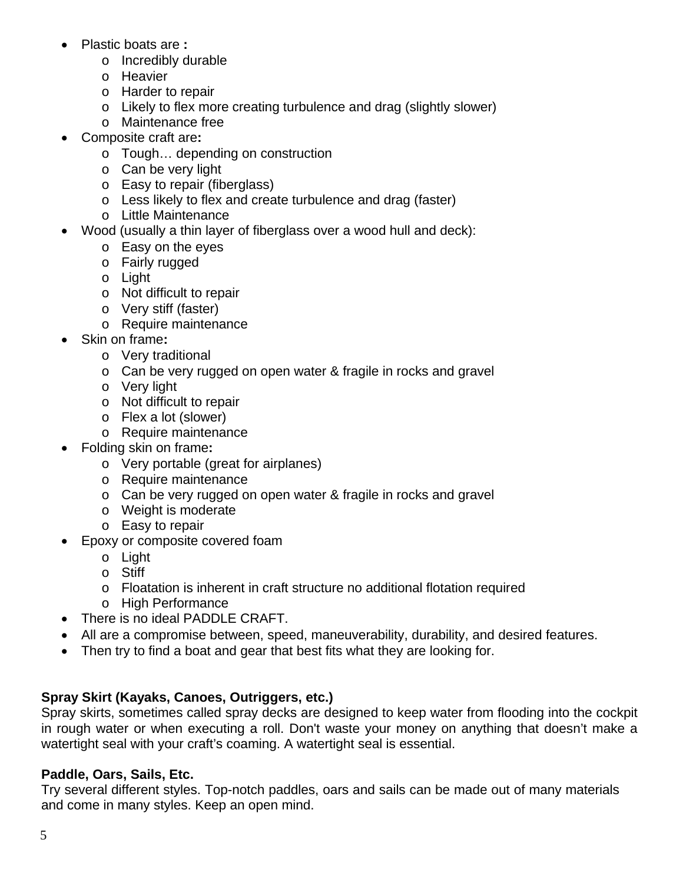- Plastic boats are **:**
	- o Incredibly durable
	- o Heavier
	- o Harder to repair
	- o Likely to flex more creating turbulence and drag (slightly slower)
	- o Maintenance free
- Composite craft are**:**
	- o Tough… depending on construction
	- o Can be very light
	- o Easy to repair (fiberglass)
	- o Less likely to flex and create turbulence and drag (faster)
	- o Little Maintenance
- Wood (usually a thin layer of fiberglass over a wood hull and deck):
	- o Easy on the eyes
	- o Fairly rugged
	- o Light
	- o Not difficult to repair
	- o Very stiff (faster)
	- o Require maintenance
- Skin on frame**:**
	- o Very traditional
	- o Can be very rugged on open water & fragile in rocks and gravel
	- o Very light
	- o Not difficult to repair
	- o Flex a lot (slower)
	- o Require maintenance
- Folding skin on frame**:**
	- o Very portable (great for airplanes)
	- o Require maintenance
	- o Can be very rugged on open water & fragile in rocks and gravel
	- o Weight is moderate
	- o Easy to repair
- Epoxy or composite covered foam
	- o Light
	- o Stiff
	- o Floatation is inherent in craft structure no additional flotation required
	- o High Performance
- There is no ideal PADDLE CRAFT.
- All are a compromise between, speed, maneuverability, durability, and desired features.
- Then try to find a boat and gear that best fits what they are looking for.

# **Spray Skirt (Kayaks, Canoes, Outriggers, etc.)**

Spray skirts, sometimes called spray decks are designed to keep water from flooding into the cockpit in rough water or when executing a roll. Don't waste your money on anything that doesn't make a watertight seal with your craft's coaming. A watertight seal is essential.

# **Paddle, Oars, Sails, Etc.**

Try several different styles. Top-notch paddles, oars and sails can be made out of many materials and come in many styles. Keep an open mind.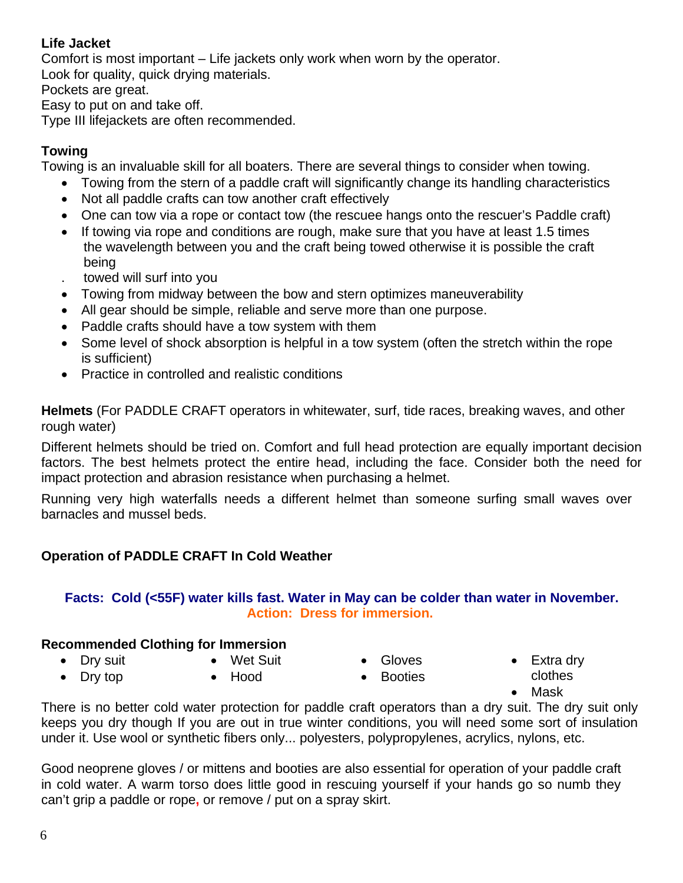### **Life Jacket**

Comfort is most important – Life jackets only work when worn by the operator.

Look for quality, quick drying materials.

Pockets are great.

Easy to put on and take off.

Type III lifejackets are often recommended.

# **Towing**

Towing is an invaluable skill for all boaters. There are several things to consider when towing.

- Towing from the stern of a paddle craft will significantly change its handling characteristics
- Not all paddle crafts can tow another craft effectively
- One can tow via a rope or contact tow (the rescuee hangs onto the rescuer's Paddle craft)
- If towing via rope and conditions are rough, make sure that you have at least 1.5 times the wavelength between you and the craft being towed otherwise it is possible the craft being
- . towed will surf into you
- Towing from midway between the bow and stern optimizes maneuverability
- All gear should be simple, reliable and serve more than one purpose.
- Paddle crafts should have a tow system with them
- Some level of shock absorption is helpful in a tow system (often the stretch within the rope is sufficient)
- Practice in controlled and realistic conditions

**Helmets** (For PADDLE CRAFT operators in whitewater, surf, tide races, breaking waves, and other rough water)

Different helmets should be tried on. Comfort and full head protection are equally important decision factors. The best helmets protect the entire head, including the face. Consider both the need for impact protection and abrasion resistance when purchasing a helmet.

Running very high waterfalls needs a different helmet than someone surfing small waves over barnacles and mussel beds.

# **Operation of PADDLE CRAFT In Cold Weather**

### **Facts: Cold (<55F) water kills fast. Water in May can be colder than water in November. Action: Dress for immersion.**

# **Recommended Clothing for Immersion**

- Dry suit Wet Suit Gloves Extra dry
- Dry top Hood Booties clothes
- 
- 
- 
- 
- the mask of the contract of the contract of the Mask of the Mask of the Mask of the Mask of the Mask of the Mask of the Mask of the Mask of the Mask of the Mask of the Mask of the Mask of the Mask of the Mask of the Mask

There is no better cold water protection for paddle craft operators than a dry suit. The dry suit only keeps you dry though If you are out in true winter conditions, you will need some sort of insulation under it. Use wool or synthetic fibers only... polyesters, polypropylenes, acrylics, nylons, etc.

Good neoprene gloves / or mittens and booties are also essential for operation of your paddle craft in cold water. A warm torso does little good in rescuing yourself if your hands go so numb they can't grip a paddle or rope**,** or remove / put on a spray skirt.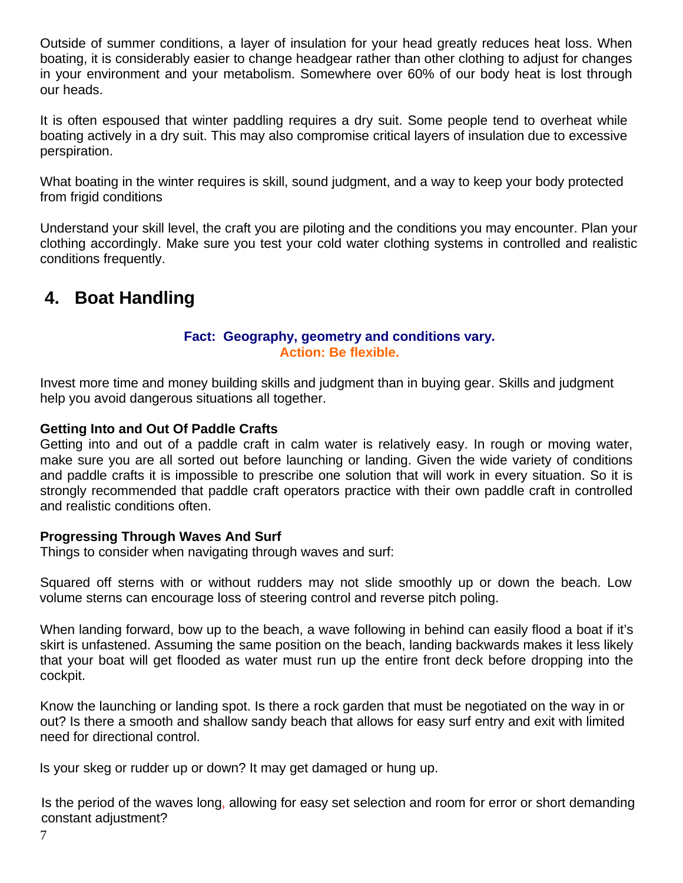Outside of summer conditions, a layer of insulation for your head greatly reduces heat loss. When boating, it is considerably easier to change headgear rather than other clothing to adjust for changes in your environment and your metabolism. Somewhere over 60% of our body heat is lost through our heads.

It is often espoused that winter paddling requires a dry suit. Some people tend to overheat while boating actively in a dry suit. This may also compromise critical layers of insulation due to excessive perspiration.

What boating in the winter requires is skill, sound judgment, and a way to keep your body protected from frigid conditions

Understand your skill level, the craft you are piloting and the conditions you may encounter. Plan your clothing accordingly. Make sure you test your cold water clothing systems in controlled and realistic conditions frequently.

# **4. Boat Handling**

#### **Fact: Geography, geometry and conditions vary. Action: Be flexible.**

Invest more time and money building skills and judgment than in buying gear. Skills and judgment help you avoid dangerous situations all together.

### **Getting Into and Out Of Paddle Crafts**

Getting into and out of a paddle craft in calm water is relatively easy. In rough or moving water, make sure you are all sorted out before launching or landing. Given the wide variety of conditions and paddle crafts it is impossible to prescribe one solution that will work in every situation. So it is strongly recommended that paddle craft operators practice with their own paddle craft in controlled and realistic conditions often.

#### **Progressing Through Waves And Surf**

Things to consider when navigating through waves and surf:

Squared off sterns with or without rudders may not slide smoothly up or down the beach. Low volume sterns can encourage loss of steering control and reverse pitch poling.

When landing forward, bow up to the beach, a wave following in behind can easily flood a boat if it's skirt is unfastened. Assuming the same position on the beach, landing backwards makes it less likely that your boat will get flooded as water must run up the entire front deck before dropping into the cockpit.

Know the launching or landing spot. Is there a rock garden that must be negotiated on the way in or out? Is there a smooth and shallow sandy beach that allows for easy surf entry and exit with limited need for directional control.

Is your skeg or rudder up or down? It may get damaged or hung up.

Is the period of the waves long, allowing for easy set selection and room for error or short demanding constant adjustment?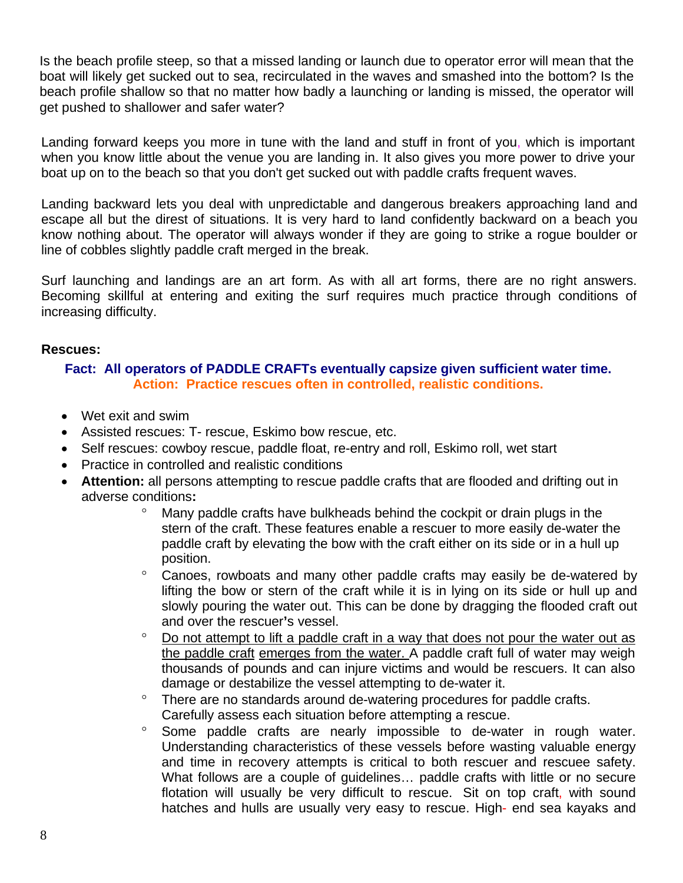Is the beach profile steep, so that a missed landing or launch due to operator error will mean that the boat will likely get sucked out to sea, recirculated in the waves and smashed into the bottom? Is the beach profile shallow so that no matter how badly a launching or landing is missed, the operator will get pushed to shallower and safer water?

Landing forward keeps you more in tune with the land and stuff in front of you, which is important when you know little about the venue you are landing in. It also gives you more power to drive your boat up on to the beach so that you don't get sucked out with paddle crafts frequent waves.

Landing backward lets you deal with unpredictable and dangerous breakers approaching land and escape all but the direst of situations. It is very hard to land confidently backward on a beach you know nothing about. The operator will always wonder if they are going to strike a rogue boulder or line of cobbles slightly paddle craft merged in the break.

Surf launching and landings are an art form. As with all art forms, there are no right answers. Becoming skillful at entering and exiting the surf requires much practice through conditions of increasing difficulty.

#### **Rescues:**

#### **Fact: All operators of PADDLE CRAFTs eventually capsize given sufficient water time. Action: Practice rescues often in controlled, realistic conditions.**

- Wet exit and swim
- Assisted rescues: T- rescue, Eskimo bow rescue, etc.
- Self rescues: cowboy rescue, paddle float, re-entry and roll, Eskimo roll, wet start
- Practice in controlled and realistic conditions
- **Attention:** all persons attempting to rescue paddle crafts that are flooded and drifting out in adverse conditions**:**
	- Many paddle crafts have bulkheads behind the cockpit or drain plugs in the stern of the craft. These features enable a rescuer to more easily de-water the paddle craft by elevating the bow with the craft either on its side or in a hull up position.
	- Canoes, rowboats and many other paddle crafts may easily be de-watered by lifting the bow or stern of the craft while it is in lying on its side or hull up and slowly pouring the water out. This can be done by dragging the flooded craft out and over the rescuer**'**s vessel.
	- Do not attempt to lift a paddle craft in a way that does not pour the water out as the paddle craft emerges from the water. A paddle craft full of water may weigh thousands of pounds and can injure victims and would be rescuers. It can also damage or destabilize the vessel attempting to de-water it.
	- There are no standards around de-watering procedures for paddle crafts. Carefully assess each situation before attempting a rescue.
	- <sup>o</sup> Some paddle crafts are nearly impossible to de-water in rough water. Understanding characteristics of these vessels before wasting valuable energy and time in recovery attempts is critical to both rescuer and rescuee safety. What follows are a couple of guidelines… paddle crafts with little or no secure flotation will usually be very difficult to rescue. Sit on top craft, with sound hatches and hulls are usually very easy to rescue. High- end sea kayaks and